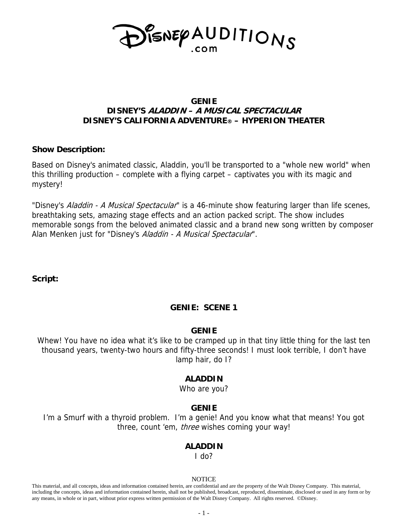

## **GENIE DISNEY'S ALADDIN – A MUSICAL SPECTACULAR DISNEY'S CALIFORNIA ADVENTURE® – HYPERION THEATER**

## **Show Description:**

Based on Disney's animated classic, Aladdin, you'll be transported to a "whole new world" when this thrilling production – complete with a flying carpet – captivates you with its magic and mystery!

"Disney's Aladdin - A Musical Spectacular" is a 46-minute show featuring larger than life scenes, breathtaking sets, amazing stage effects and an action packed script. The show includes memorable songs from the beloved animated classic and a brand new song written by composer Alan Menken just for "Disney's Aladdin - A Musical Spectacular".

**Script:** 

# **GENIE: SCENE 1**

## **GENIE**

Whew! You have no idea what it's like to be cramped up in that tiny little thing for the last ten thousand years, twenty-two hours and fifty-three seconds! I must look terrible, I don't have lamp hair, do I?

## **ALADDIN**

Who are you?

# **GENIE**

I'm a Smurf with a thyroid problem. I'm a genie! And you know what that means! You got three, count 'em, *three* wishes coming your way!

## **ALADDIN**

I do?

#### **NOTICE**

This material, and all concepts, ideas and information contained herein, are confidential and are the property of the Walt Disney Company. This material, including the concepts, ideas and information contained herein, shall not be published, broadcast, reproduced, disseminate, disclosed or used in any form or by any means, in whole or in part, without prior express written permission of the Walt Disney Company. All rights reserved. ©Disney.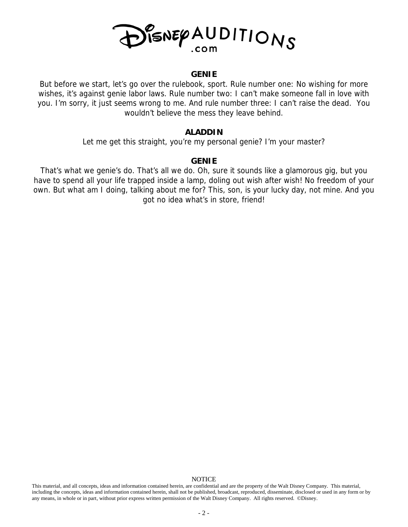

#### **GENIE**

But before we start, let's go over the rulebook, sport. Rule number one: No wishing for more wishes, it's against genie labor laws. Rule number two: I can't make someone fall in love with you. I'm sorry, it just seems wrong to me. And rule number three: I can't raise the dead. You wouldn't believe the mess they leave behind.

#### **ALADDIN**

Let me get this straight, you're my personal genie? I'm your master?

## **GENIE**

That's what we genie's do. That's all we do. Oh, sure it sounds like a glamorous gig, but you have to spend all your life trapped inside a lamp, doling out wish after wish! No freedom of your own. But what am I doing, talking about me for? This, son, is your lucky day, not mine. And you got no idea what's in store, friend!

This material, and all concepts, ideas and information contained herein, are confidential and are the property of the Walt Disney Company. This material, including the concepts, ideas and information contained herein, shall not be published, broadcast, reproduced, disseminate, disclosed or used in any form or by any means, in whole or in part, without prior express written permission of the Walt Disney Company. All rights reserved. ©Disney.

#### NOTICE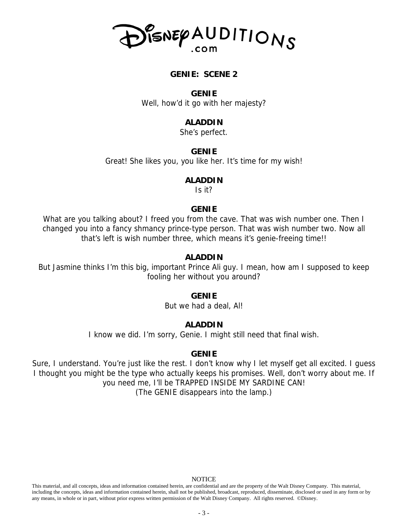

## **GENIE: SCENE 2**

#### **GENIE**

Well, how'd it go with her majesty?

## **ALADDIN**

She's perfect.

#### **GENIE**

Great! She likes you, you like her. It's time for my wish!

#### **ALADDIN**

Is it?

#### **GENIE**

What are you talking about? I freed you from the cave. That was wish number one. Then I changed you into a fancy shmancy prince-type person. That was wish number two. Now all that's left is wish number three, which means it's genie-freeing time!!

## **ALADDIN**

But Jasmine thinks I'm this big, important Prince Ali guy. I mean, how am I supposed to keep fooling her without you around?

### **GENIE**

But we had a deal, Al!

#### **ALADDIN**

I know we did. I'm sorry, Genie. I might still need that final wish.

#### **GENIE**

Sure, I understand. You're just like the rest. I don't know why I let myself get all excited. I guess I thought you might be the type who actually keeps his promises. Well, don't worry about me. If you need me, I'll be TRAPPED INSIDE MY SARDINE CAN! (The GENIE disappears into the lamp.)

#### NOTICE

This material, and all concepts, ideas and information contained herein, are confidential and are the property of the Walt Disney Company. This material, including the concepts, ideas and information contained herein, shall not be published, broadcast, reproduced, disseminate, disclosed or used in any form or by any means, in whole or in part, without prior express written permission of the Walt Disney Company. All rights reserved. ©Disney.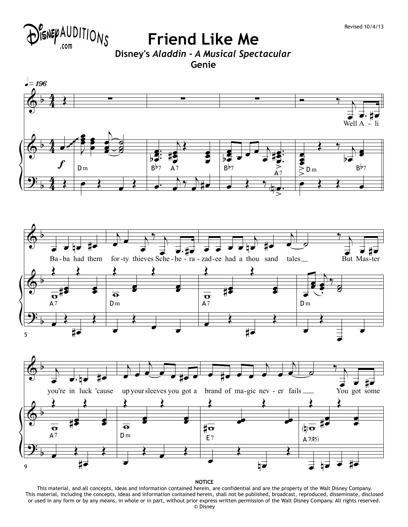

**Friend Like Me Disney's** *Aladdin - A Musical Spectacular* **Genie**







**NOTICE**

This material, and all concepts, ideas and information contained herein, are confidential and are the property of the Walt Disney Company. This material, including the concepts, ideas and information contained herein, shall not be published, broadcast, reproduced, disseminate, disclosed or used in any form or by any means, in whole or in part, without prior express written permission of the Walt Disney Company. All rights reserved. © Disney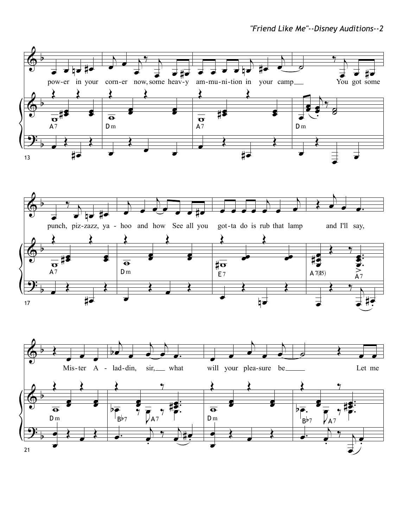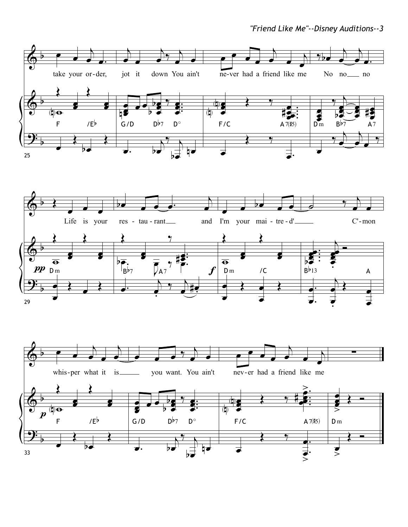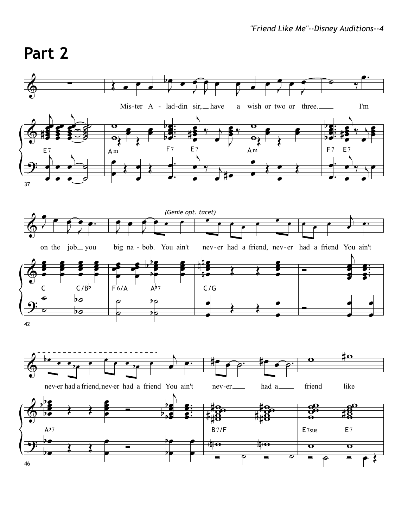# **Part 2**